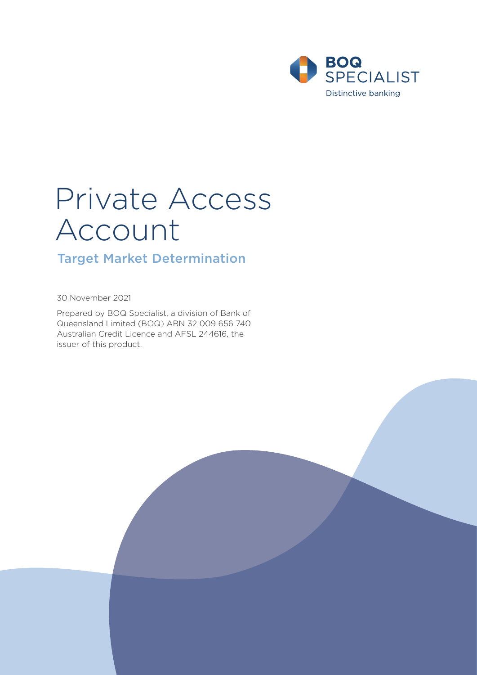

# Private Access Account

# Target Market Determination

30 November 2021

Prepared by BOQ Specialist, a division of Bank of Queensland Limited (BOQ) ABN 32 009 656 740 Australian Credit Licence and AFSL 244616, the issuer of this product.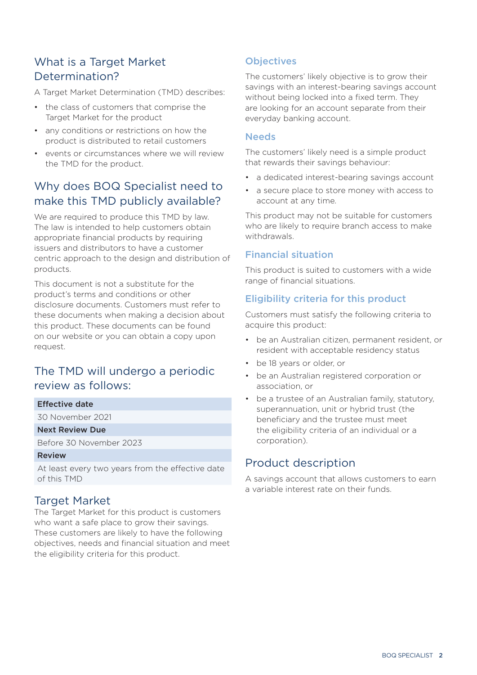# What is a Target Market Determination?

A Target Market Determination (TMD) describes:

- the class of customers that comprise the Target Market for the product
- any conditions or restrictions on how the product is distributed to retail customers
- events or circumstances where we will review the TMD for the product.

# Why does BOQ Specialist need to make this TMD publicly available?

We are required to produce this TMD by law. The law is intended to help customers obtain appropriate financial products by requiring issuers and distributors to have a customer centric approach to the design and distribution of products.

This document is not a substitute for the product's terms and conditions or other disclosure documents. Customers must refer to these documents when making a decision about this product. These documents can be found on our website or you can obtain a copy upon request.

# The TMD will undergo a periodic review as follows:

#### Effective date

30 November 2021

#### Next Review Due

Before 30 November 2023

#### Review

At least every two years from the effective date of this TMD

# Target Market

The Target Market for this product is customers who want a safe place to grow their savings. These customers are likely to have the following objectives, needs and financial situation and meet the eligibility criteria for this product.

## **Objectives**

The customers' likely objective is to grow their savings with an interest-bearing savings account without being locked into a fixed term. They are looking for an account separate from their everyday banking account.

#### **Needs**

The customers' likely need is a simple product that rewards their savings behaviour:

- a dedicated interest-bearing savings account
- a secure place to store money with access to account at any time.

This product may not be suitable for customers who are likely to require branch access to make withdrawals.

#### Financial situation

This product is suited to customers with a wide range of financial situations.

#### Eligibility criteria for this product

Customers must satisfy the following criteria to acquire this product:

- be an Australian citizen, permanent resident, or resident with acceptable residency status
- be 18 years or older, or
- be an Australian registered corporation or association, or
- be a trustee of an Australian family, statutory, superannuation, unit or hybrid trust (the beneficiary and the trustee must meet the eligibility criteria of an individual or a corporation).

# Product description

A savings account that allows customers to earn a variable interest rate on their funds.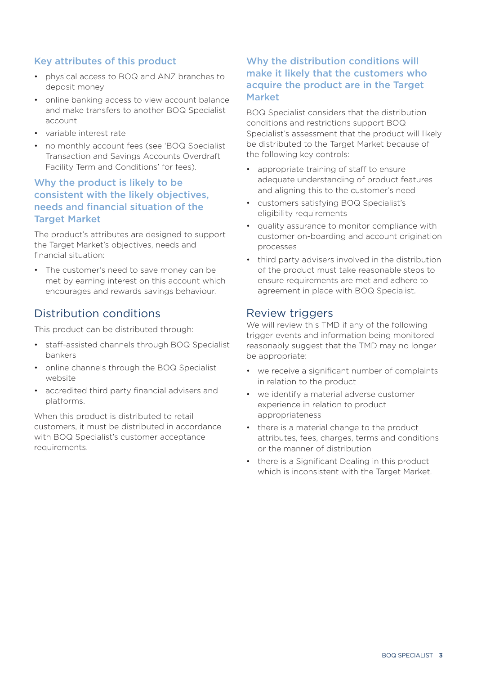## Key attributes of this product

- physical access to BOQ and ANZ branches to deposit money
- online banking access to view account balance and make transfers to another BOQ Specialist account
- variable interest rate
- no monthly account fees (see 'BOQ Specialist Transaction and Savings Accounts Overdraft Facility Term and Conditions' for fees).

## Why the product is likely to be consistent with the likely objectives, needs and financial situation of the **Target Market**

The product's attributes are designed to support the Target Market's objectives, needs and financial situation:

The customer's need to save money can be met by earning interest on this account which encourages and rewards savings behaviour.

# Distribution conditions

This product can be distributed through:

- staff-assisted channels through BOQ Specialist bankers
- online channels through the BOQ Specialist website
- accredited third party financial advisers and platforms.

When this product is distributed to retail customers, it must be distributed in accordance with BOQ Specialist's customer acceptance requirements.

## Why the distribution conditions will make it likely that the customers who acquire the product are in the Target Market

BOQ Specialist considers that the distribution conditions and restrictions support BOQ Specialist's assessment that the product will likely be distributed to the Target Market because of the following key controls:

- appropriate training of staff to ensure adequate understanding of product features and aligning this to the customer's need
- customers satisfying BOQ Specialist's eligibility requirements
- quality assurance to monitor compliance with customer on-boarding and account origination processes
- third party advisers involved in the distribution of the product must take reasonable steps to ensure requirements are met and adhere to agreement in place with BOQ Specialist.

## Review triggers

We will review this TMD if any of the following trigger events and information being monitored reasonably suggest that the TMD may no longer be appropriate:

- we receive a significant number of complaints in relation to the product
- we identify a material adverse customer experience in relation to product appropriateness
- there is a material change to the product attributes, fees, charges, terms and conditions or the manner of distribution
- there is a Significant Dealing in this product which is inconsistent with the Target Market.